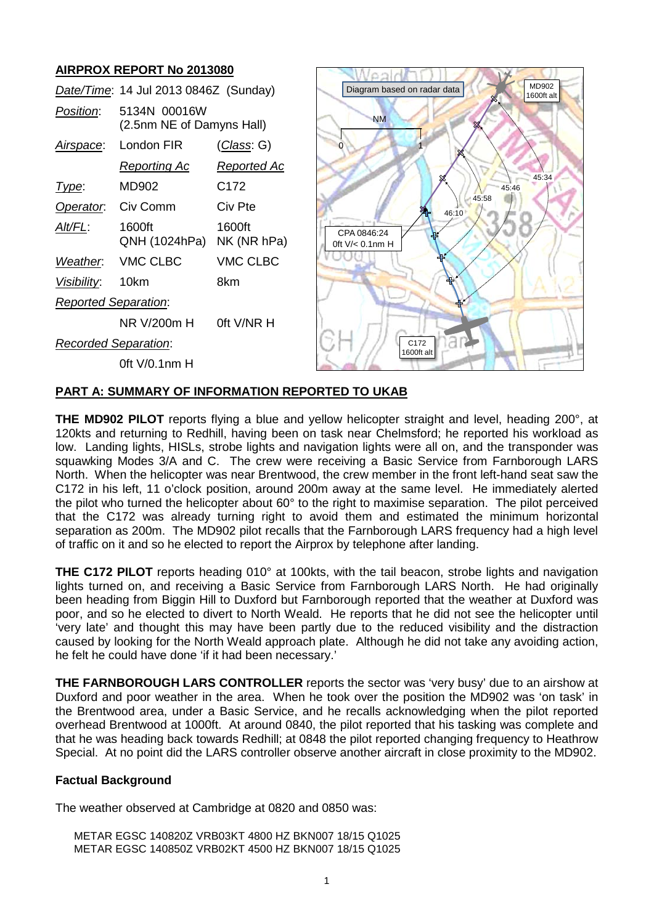# **AIRPROX REPORT No 2013080**

|                             | Date/Time: 14 Jul 2013 0846Z (Sunday)     |                       |
|-----------------------------|-------------------------------------------|-----------------------|
| Position:                   | 5134N 00016W<br>(2.5nm NE of Damyns Hall) |                       |
| Airspace:                   | London FIR                                | <u>(Class</u> : G)    |
|                             | <u>Reporting Ac</u>                       | <u>Reported Ac</u>    |
| Type:                       | MD902                                     | C172                  |
| Operator.                   | Civ Comm                                  | Civ Pte               |
| AIt/FL:                     | 1600ft<br>QNH (1024hPa)                   | 1600ft<br>NK (NR hPa) |
| Weather.                    | <b>VMC CLBC</b>                           | <b>VMC CLBC</b>       |
| <i>Visibility</i> :         | 10km                                      | 8km                   |
| <b>Reported Separation:</b> |                                           |                       |
|                             | NR V/200m H                               | 0ft V/NR H            |
| <b>Recorded Separation:</b> |                                           |                       |
|                             | 0ft V/0.1nm H                             |                       |



#### **PART A: SUMMARY OF INFORMATION REPORTED TO UKAB**

**THE MD902 PILOT** reports flying a blue and yellow helicopter straight and level, heading 200°, at 120kts and returning to Redhill, having been on task near Chelmsford; he reported his workload as low. Landing lights, HISLs, strobe lights and navigation lights were all on, and the transponder was squawking Modes 3/A and C. The crew were receiving a Basic Service from Farnborough LARS North. When the helicopter was near Brentwood, the crew member in the front left-hand seat saw the C172 in his left, 11 o'clock position, around 200m away at the same level. He immediately alerted the pilot who turned the helicopter about 60° to the right to maximise separation. The pilot perceived that the C172 was already turning right to avoid them and estimated the minimum horizontal separation as 200m. The MD902 pilot recalls that the Farnborough LARS frequency had a high level of traffic on it and so he elected to report the Airprox by telephone after landing.

**THE C172 PILOT** reports heading 010° at 100kts, with the tail beacon, strobe lights and navigation lights turned on, and receiving a Basic Service from Farnborough LARS North. He had originally been heading from Biggin Hill to Duxford but Farnborough reported that the weather at Duxford was poor, and so he elected to divert to North Weald. He reports that he did not see the helicopter until 'very late' and thought this may have been partly due to the reduced visibility and the distraction caused by looking for the North Weald approach plate. Although he did not take any avoiding action, he felt he could have done 'if it had been necessary.'

**THE FARNBOROUGH LARS CONTROLLER** reports the sector was 'very busy' due to an airshow at Duxford and poor weather in the area. When he took over the position the MD902 was 'on task' in the Brentwood area, under a Basic Service, and he recalls acknowledging when the pilot reported overhead Brentwood at 1000ft. At around 0840, the pilot reported that his tasking was complete and that he was heading back towards Redhill; at 0848 the pilot reported changing frequency to Heathrow Special. At no point did the LARS controller observe another aircraft in close proximity to the MD902.

## **Factual Background**

The weather observed at Cambridge at 0820 and 0850 was:

METAR EGSC 140820Z VRB03KT 4800 HZ BKN007 18/15 Q1025 METAR EGSC 140850Z VRB02KT 4500 HZ BKN007 18/15 Q1025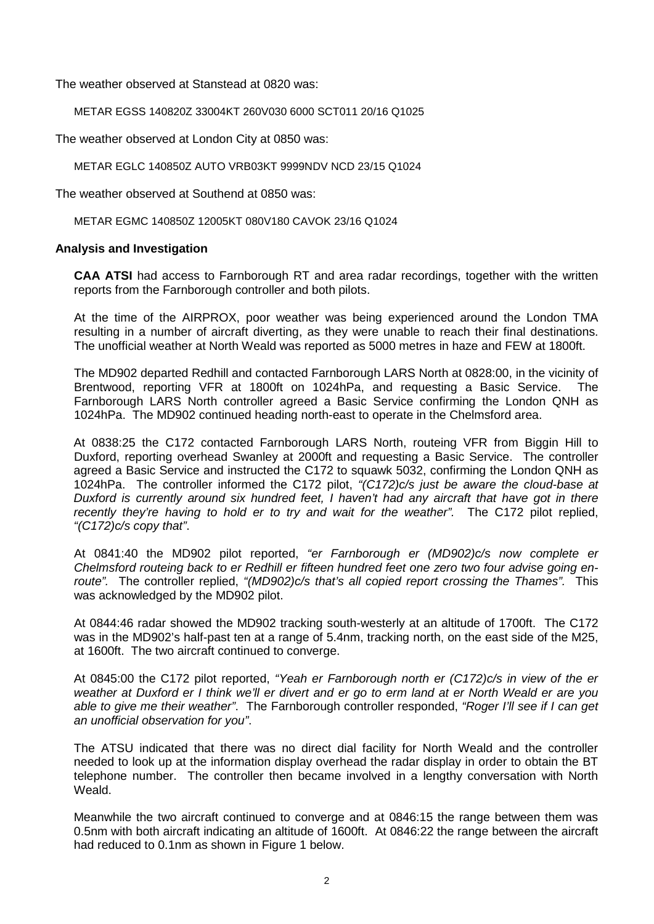The weather observed at Stanstead at 0820 was:

METAR EGSS 140820Z 33004KT 260V030 6000 SCT011 20/16 Q1025

The weather observed at London City at 0850 was:

METAR EGLC 140850Z AUTO VRB03KT 9999NDV NCD 23/15 Q1024

The weather observed at Southend at 0850 was:

METAR EGMC 140850Z 12005KT 080V180 CAVOK 23/16 Q1024

#### **Analysis and Investigation**

**CAA ATSI** had access to Farnborough RT and area radar recordings, together with the written reports from the Farnborough controller and both pilots.

At the time of the AIRPROX, poor weather was being experienced around the London TMA resulting in a number of aircraft diverting, as they were unable to reach their final destinations. The unofficial weather at North Weald was reported as 5000 metres in haze and FEW at 1800ft.

The MD902 departed Redhill and contacted Farnborough LARS North at 0828:00, in the vicinity of Brentwood, reporting VFR at 1800ft on 1024hPa, and requesting a Basic Service. The Farnborough LARS North controller agreed a Basic Service confirming the London QNH as 1024hPa. The MD902 continued heading north-east to operate in the Chelmsford area.

At 0838:25 the C172 contacted Farnborough LARS North, routeing VFR from Biggin Hill to Duxford, reporting overhead Swanley at 2000ft and requesting a Basic Service. The controller agreed a Basic Service and instructed the C172 to squawk 5032, confirming the London QNH as 1024hPa. The controller informed the C172 pilot, *"(C172)c/s just be aware the cloud-base at Duxford is currently around six hundred feet, I haven't had any aircraft that have got in there recently they're having to hold er to try and wait for the weather".* The C172 pilot replied, *"(C172)c/s copy that"*.

At 0841:40 the MD902 pilot reported, *"er Farnborough er (MD902)c/s now complete er Chelmsford routeing back to er Redhill er fifteen hundred feet one zero two four advise going enroute".* The controller replied, *"(MD902)c/s that's all copied report crossing the Thames".* This was acknowledged by the MD902 pilot.

At 0844:46 radar showed the MD902 tracking south-westerly at an altitude of 1700ft. The C172 was in the MD902's half-past ten at a range of 5.4nm, tracking north, on the east side of the M25, at 1600ft. The two aircraft continued to converge.

At 0845:00 the C172 pilot reported, *"Yeah er Farnborough north er (C172)c/s in view of the er weather at Duxford er I think we'll er divert and er go to erm land at er North Weald er are you able to give me their weather"*. The Farnborough controller responded, *"Roger I'll see if I can get an unofficial observation for you"*.

The ATSU indicated that there was no direct dial facility for North Weald and the controller needed to look up at the information display overhead the radar display in order to obtain the BT telephone number. The controller then became involved in a lengthy conversation with North Weald.

Meanwhile the two aircraft continued to converge and at 0846:15 the range between them was 0.5nm with both aircraft indicating an altitude of 1600ft. At 0846:22 the range between the aircraft had reduced to 0.1nm as shown in Figure 1 below.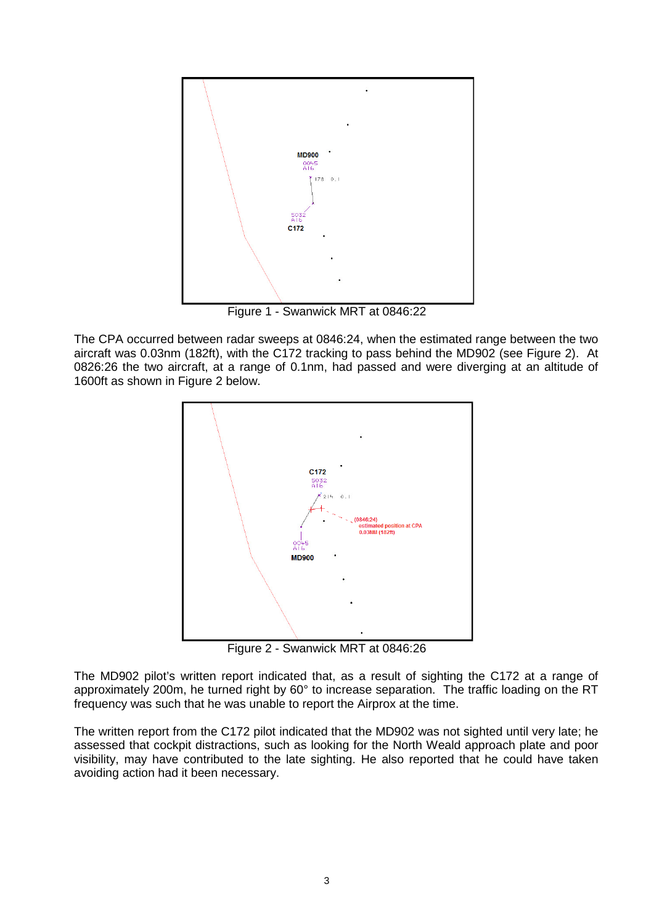

Figure 1 - Swanwick MRT at 0846:22

The CPA occurred between radar sweeps at 0846:24, when the estimated range between the two aircraft was 0.03nm (182ft), with the C172 tracking to pass behind the MD902 (see Figure 2). At 0826:26 the two aircraft, at a range of 0.1nm, had passed and were diverging at an altitude of 1600ft as shown in Figure 2 below.



Figure 2 - Swanwick MRT at 0846:26

The MD902 pilot's written report indicated that, as a result of sighting the C172 at a range of approximately 200m, he turned right by 60° to increase separation. The traffic loading on the RT frequency was such that he was unable to report the Airprox at the time.

The written report from the C172 pilot indicated that the MD902 was not sighted until very late; he assessed that cockpit distractions, such as looking for the North Weald approach plate and poor visibility, may have contributed to the late sighting. He also reported that he could have taken avoiding action had it been necessary.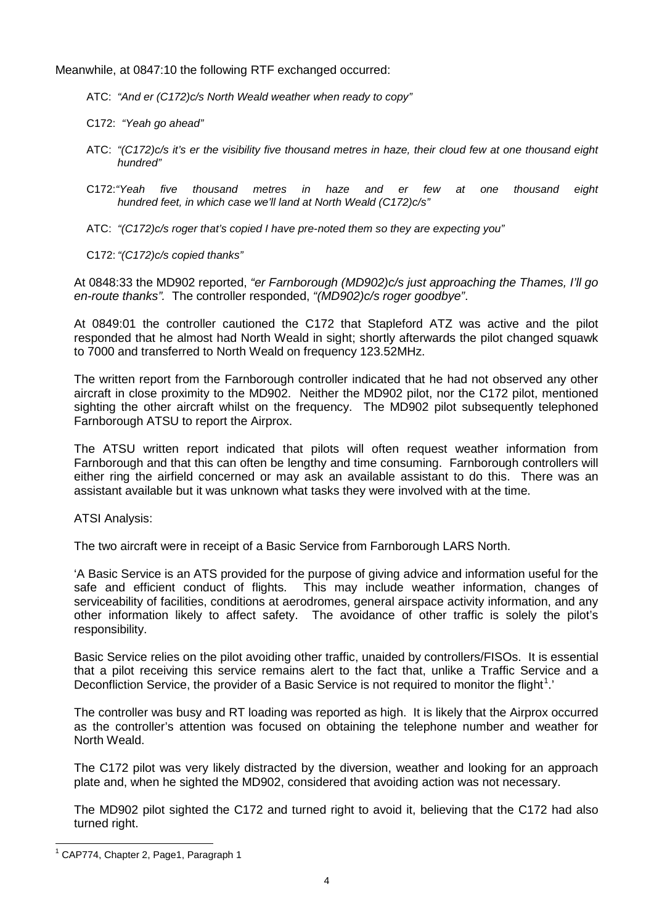Meanwhile, at 0847:10 the following RTF exchanged occurred:

ATC: *"And er (C172)c/s North Weald weather when ready to copy"*

C172: *"Yeah go ahead"*

- ATC: *"(C172)c/s it's er the visibility five thousand metres in haze, their cloud few at one thousand eight hundred"*
- C172:*"Yeah five thousand metres in haze and er few at one thousand eight hundred feet, in which case we'll land at North Weald (C172)c/s"*
- ATC: *"(C172)c/s roger that's copied I have pre-noted them so they are expecting you"*

C172: *"(C172)c/s copied thanks"*

At 0848:33 the MD902 reported, *"er Farnborough (MD902)c/s just approaching the Thames, I'll go en-route thanks".* The controller responded, *"(MD902)c/s roger goodbye"*.

At 0849:01 the controller cautioned the C172 that Stapleford ATZ was active and the pilot responded that he almost had North Weald in sight; shortly afterwards the pilot changed squawk to 7000 and transferred to North Weald on frequency 123.52MHz.

The written report from the Farnborough controller indicated that he had not observed any other aircraft in close proximity to the MD902. Neither the MD902 pilot, nor the C172 pilot, mentioned sighting the other aircraft whilst on the frequency. The MD902 pilot subsequently telephoned Farnborough ATSU to report the Airprox.

The ATSU written report indicated that pilots will often request weather information from Farnborough and that this can often be lengthy and time consuming. Farnborough controllers will either ring the airfield concerned or may ask an available assistant to do this. There was an assistant available but it was unknown what tasks they were involved with at the time.

ATSI Analysis:

The two aircraft were in receipt of a Basic Service from Farnborough LARS North.

'A Basic Service is an ATS provided for the purpose of giving advice and information useful for the safe and efficient conduct of flights. This may include weather information, changes of serviceability of facilities, conditions at aerodromes, general airspace activity information, and any other information likely to affect safety. The avoidance of other traffic is solely the pilot's responsibility.

Basic Service relies on the pilot avoiding other traffic, unaided by controllers/FISOs. It is essential that a pilot receiving this service remains alert to the fact that, unlike a Traffic Service and a Deconfliction Service, the provider of a Basic Service is not required to monitor the flight<sup>[1](#page-3-0)</sup>.

The controller was busy and RT loading was reported as high. It is likely that the Airprox occurred as the controller's attention was focused on obtaining the telephone number and weather for North Weald.

The C172 pilot was very likely distracted by the diversion, weather and looking for an approach plate and, when he sighted the MD902, considered that avoiding action was not necessary.

The MD902 pilot sighted the C172 and turned right to avoid it, believing that the C172 had also turned right.

<span id="page-3-0"></span><sup>&</sup>lt;sup>1</sup> CAP774, Chapter 2, Page1, Paragraph 1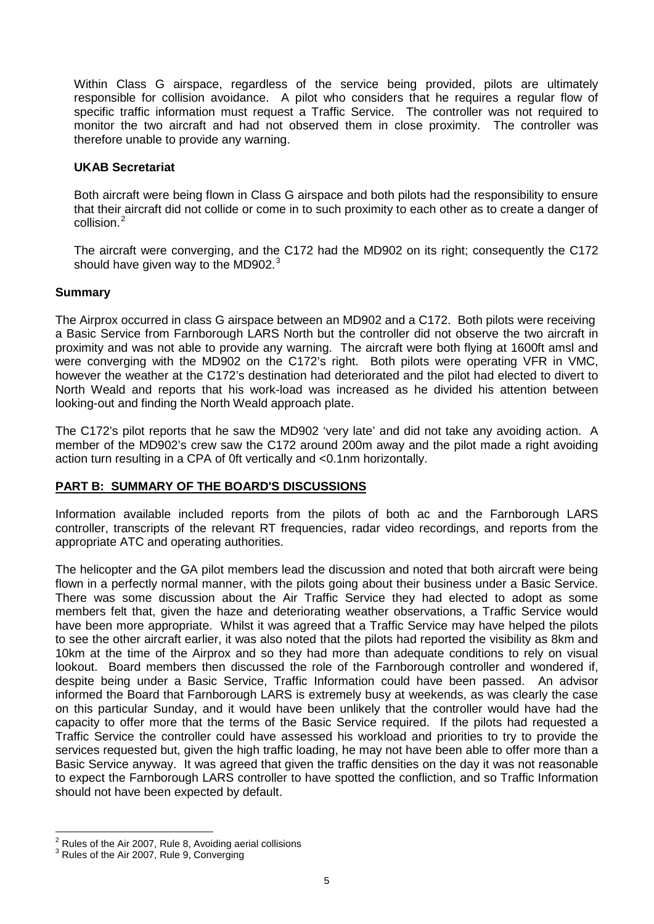Within Class G airspace, regardless of the service being provided, pilots are ultimately responsible for collision avoidance. A pilot who considers that he requires a regular flow of specific traffic information must request a Traffic Service. The controller was not required to monitor the two aircraft and had not observed them in close proximity. The controller was therefore unable to provide any warning.

#### **UKAB Secretariat**

Both aircraft were being flown in Class G airspace and both pilots had the responsibility to ensure that their aircraft did not collide or come in to such proximity to each other as to create a danger of collision.<sup>[2](#page-4-0)</sup>

The aircraft were converging, and the C172 had the MD902 on its right; consequently the C172 should have given way to the MD902. $3$ 

#### **Summary**

The Airprox occurred in class G airspace between an MD902 and a C172. Both pilots were receiving a Basic Service from Farnborough LARS North but the controller did not observe the two aircraft in proximity and was not able to provide any warning. The aircraft were both flying at 1600ft amsl and were converging with the MD902 on the C172's right. Both pilots were operating VFR in VMC, however the weather at the C172's destination had deteriorated and the pilot had elected to divert to North Weald and reports that his work-load was increased as he divided his attention between looking-out and finding the North Weald approach plate.

The C172's pilot reports that he saw the MD902 'very late' and did not take any avoiding action. A member of the MD902's crew saw the C172 around 200m away and the pilot made a right avoiding action turn resulting in a CPA of 0ft vertically and <0.1nm horizontally.

## **PART B: SUMMARY OF THE BOARD'S DISCUSSIONS**

Information available included reports from the pilots of both ac and the Farnborough LARS controller, transcripts of the relevant RT frequencies, radar video recordings, and reports from the appropriate ATC and operating authorities.

The helicopter and the GA pilot members lead the discussion and noted that both aircraft were being flown in a perfectly normal manner, with the pilots going about their business under a Basic Service. There was some discussion about the Air Traffic Service they had elected to adopt as some members felt that, given the haze and deteriorating weather observations, a Traffic Service would have been more appropriate. Whilst it was agreed that a Traffic Service may have helped the pilots to see the other aircraft earlier, it was also noted that the pilots had reported the visibility as 8km and 10km at the time of the Airprox and so they had more than adequate conditions to rely on visual lookout. Board members then discussed the role of the Farnborough controller and wondered if, despite being under a Basic Service, Traffic Information could have been passed. An advisor informed the Board that Farnborough LARS is extremely busy at weekends, as was clearly the case on this particular Sunday, and it would have been unlikely that the controller would have had the capacity to offer more that the terms of the Basic Service required. If the pilots had requested a Traffic Service the controller could have assessed his workload and priorities to try to provide the services requested but, given the high traffic loading, he may not have been able to offer more than a Basic Service anyway. It was agreed that given the traffic densities on the day it was not reasonable to expect the Farnborough LARS controller to have spotted the confliction, and so Traffic Information should not have been expected by default.

<span id="page-4-0"></span> $^2$  Rules of the Air 2007, Rule 8, Avoiding aerial collisions  $^3$  Rules of the Air 2007, Rule 9, Converging

<span id="page-4-1"></span>